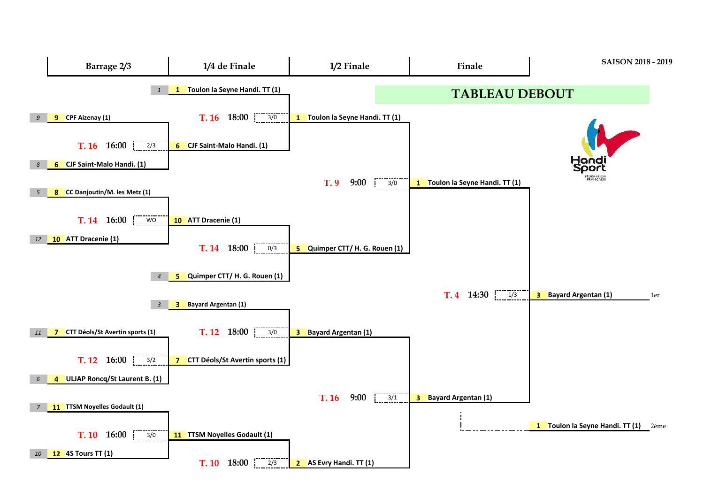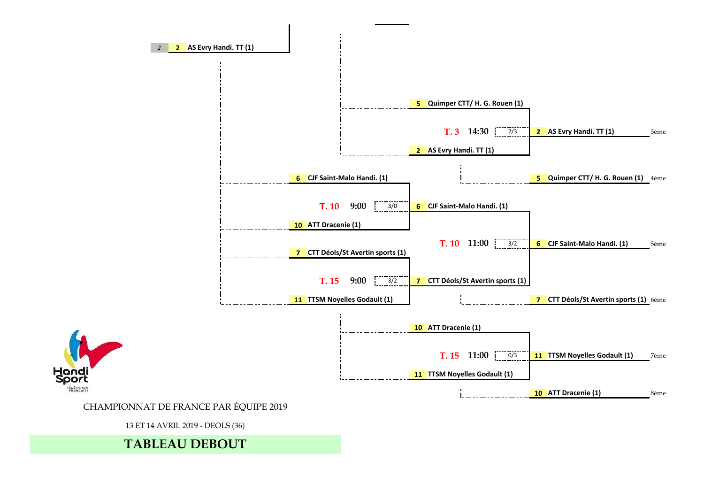## **TABLEAU DEBOUT**

13 ET 14 AVRIL 2019 - DEOLS (36)

## CHAMPIONNAT DE FRANCE PAR ÉQUIPE 2019



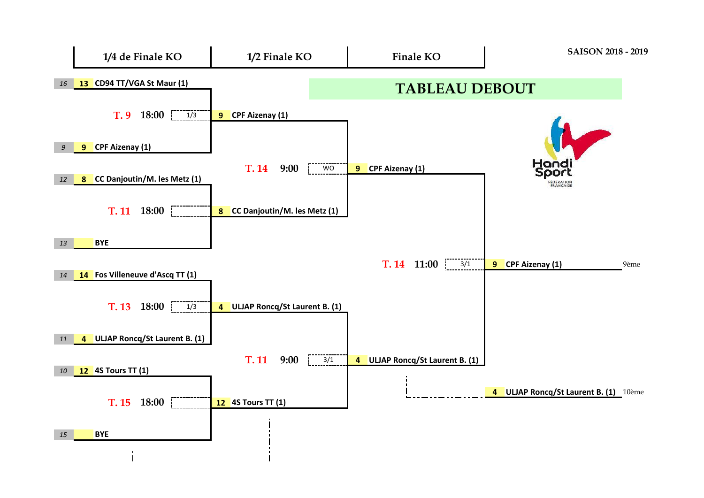